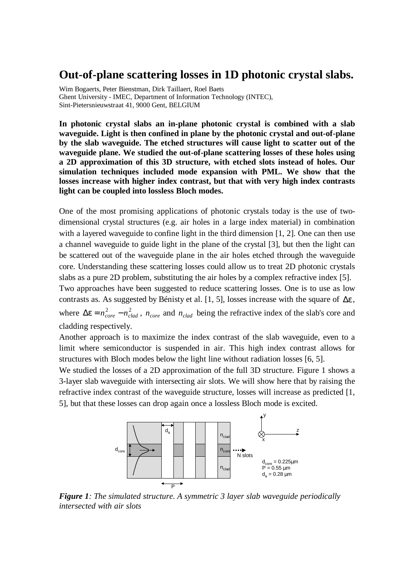# **Out-of-plane scattering losses in 1D photonic crystal slabs.**

Wim Bogaerts, Peter Bienstman, Dirk Taillaert, Roel Baets Ghent University - IMEC, Department of Information Technology (INTEC), Sint-Pietersnieuwstraat 41, 9000 Gent, BELGIUM

**In photonic crystal slabs an in-plane photonic crystal is combined with a slab waveguide. Light is then confined in plane by the photonic crystal and out-of-plane by the slab waveguide. The etched structures will cause light to scatter out of the waveguide plane. We studied the out-of-plane scattering losses of these holes using a 2D approximation of this 3D structure, with etched slots instead of holes. Our simulation techniques included mode expansion with PML. We show that the losses increase with higher index contrast, but that with very high index contrasts light can be coupled into lossless Bloch modes.**

One of the most promising applications of photonic crystals today is the use of twodimensional crystal structures (e.g. air holes in a large index material) in combination with a layered waveguide to confine light in the third dimension [1, 2]. One can then use a channel waveguide to guide light in the plane of the crystal [3], but then the light can be scattered out of the waveguide plane in the air holes etched through the waveguide core. Understanding these scattering losses could allow us to treat 2D photonic crystals slabs as a pure 2D problem, substituting the air holes by a complex refractive index [5].

Two approaches have been suggested to reduce scattering losses. One is to use as low contrasts as. As suggested by Bénisty et al. [1, 5], losses increase with the square of  $\Delta \varepsilon$ , where  $\Delta \varepsilon = n_{core}^2 - n_{clad}^2$ ,  $n_{core}$  and  $n_{clad}$  being the refractive index of the slab's core and cladding respectively.

Another approach is to maximize the index contrast of the slab waveguide, even to a limit where semiconductor is suspended in air. This high index contrast allows for structures with Bloch modes below the light line without radiation losses [6, 5].

We studied the losses of a 2D approximation of the full 3D structure. Figure 1 shows a 3-layer slab waveguide with intersecting air slots. We will show here that by raising the refractive index contrast of the waveguide structure, losses will increase as predicted [1, 5], but that these losses can drop again once a lossless Bloch mode is excited.



*Figure 1: The simulated structure. A symmetric 3 layer slab waveguide periodically intersected with air slots*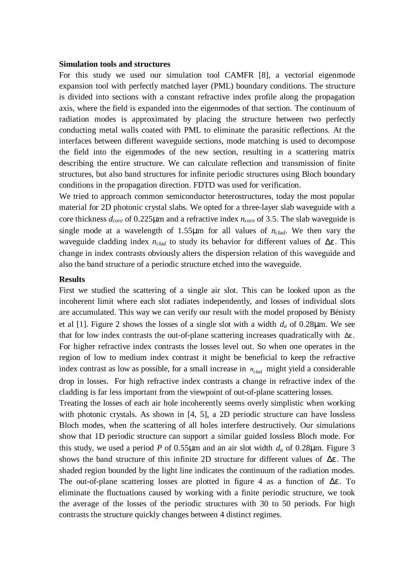## **Simulation tools and structures**

For this study we used our simulation tool CAMFR [8], a vectorial eigenmode expansion tool with perfectly matched layer (PML) boundary conditions. The structure is divided into sections with a constant refractive index profile along the propagation axis, where the field is expanded into the eigenmodes of that section. The continuum of radiation modes is approximated by placing the structure between two perfectly conducting metal walls coated with PML to eliminate the parasitic reflections. At the interfaces between different waveguide sections, mode matching is used to decompose the field into the eigenmodes of the new section, resulting in a scattering matrix describing the entire structure. We can calculate reflection and transmission of finite structures, but also band structures for infinite periodic structures using Bloch boundary conditions in the propagation direction. FDTD was used for verification.

We tried to approach common semiconductor heterostructures, today the most popular material for 2D photonic crystal slabs. We opted for a three-layer slab waveguide with a core thickness *dcore* of 0.225μm and a refractive index *ncore* of 3.5. The slab waveguide is single mode at a wavelength of 1.55 $\mu$ m for all values of  $n_{clad}$ . We then vary the waveguide cladding index  $n_{clad}$  to study its behavior for different values of  $\Delta \varepsilon$ . This change in index contrasts obviously alters the dispersion relation of this waveguide and also the band structure of a periodic structure etched into the waveguide.

## **Results**

First we studied the scattering of a single air slot. This can be looked upon as the incoherent limit where each slot radiates independently, and losses of individual slots are accumulated. This way we can verify our result with the model proposed by Bénisty et al [1]. Figure 2 shows the losses of a single slot with a width  $d_a$  of 0.28 $\mu$ m. We see that for low index contrasts the out-of-plane scattering increases quadratically with  $\Delta \varepsilon$ . For higher refractive index contrasts the losses level out. So when one operates in the region of low to medium index contrast it might be beneficial to keep the refractive index contrast as low as possible, for a small increase in  $n_{c|ad}$  might yield a considerable drop in losses. For high refractive index contrasts a change in refractive index of the cladding is far less important from the viewpoint of out-of-plane scattering losses.

Treating the losses of each air hole incoherently seems overly simplistic when working with photonic crystals. As shown in [4, 5], a 2D periodic structure can have lossless Bloch modes, when the scattering of all holes interfere destructively. Our simulations show that 1D periodic structure can support a similar guided lossless Bloch mode. For this study, we used a period *P* of 0.55 $\mu$ m and an air slot width  $d_a$  of 0.28 $\mu$ m. Figure 3 shows the band structure of this infinite 2D structure for different values of  $\Delta \varepsilon$ . The shaded region bounded by the light line indicates the continuum of the radiation modes. The out-of-plane scattering losses are plotted in figure 4 as a function of  $\Delta \epsilon$ . To eliminate the fluctuations caused by working with a finite periodic structure, we took the average of the losses of the periodic structures with 30 to 50 periods. For high contrasts the structure quickly changes between 4 distinct regimes.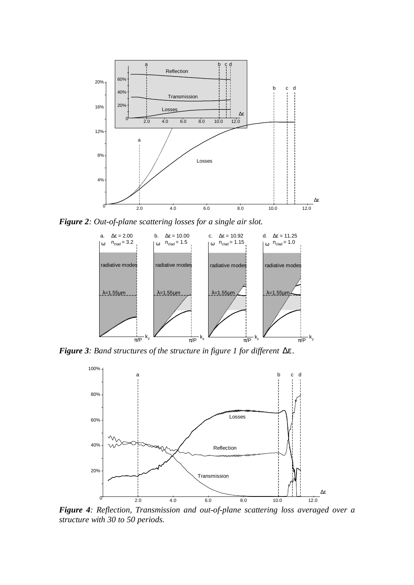

*Figure 2: Out-of-plane scattering losses for a single air slot.*



*Figure 3: Band structures of the structure in figure 1 for different* Δε*.*



*Figure 4: Reflection, Transmission and out-of-plane scattering loss averaged over a structure with 30 to 50 periods.*